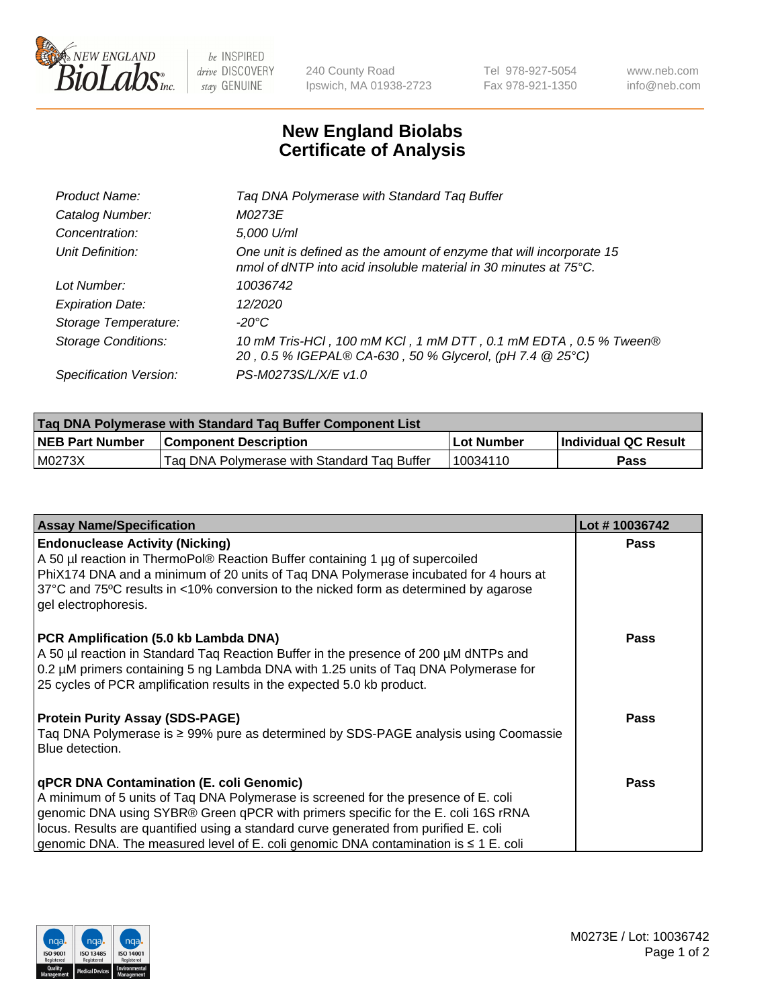

 $be$  INSPIRED drive DISCOVERY stay GENUINE

240 County Road Ipswich, MA 01938-2723 Tel 978-927-5054 Fax 978-921-1350 www.neb.com info@neb.com

## **New England Biolabs Certificate of Analysis**

| Tag DNA Polymerase with Standard Tag Buffer                                                                                              |
|------------------------------------------------------------------------------------------------------------------------------------------|
| M0273E                                                                                                                                   |
| 5,000 U/ml                                                                                                                               |
| One unit is defined as the amount of enzyme that will incorporate 15<br>nmol of dNTP into acid insoluble material in 30 minutes at 75°C. |
| 10036742                                                                                                                                 |
| 12/2020                                                                                                                                  |
| $-20^{\circ}$ C                                                                                                                          |
| 10 mM Tris-HCl, 100 mM KCl, 1 mM DTT, 0.1 mM EDTA, 0.5 % Tween®<br>20, 0.5 % IGEPAL® CA-630, 50 % Glycerol, (pH 7.4 @ 25°C)              |
| PS-M0273S/L/X/E v1.0                                                                                                                     |
|                                                                                                                                          |

| <b>Tag DNA Polymerase with Standard Tag Buffer Component List</b> |                                             |            |                      |  |  |
|-------------------------------------------------------------------|---------------------------------------------|------------|----------------------|--|--|
| <b>NEB Part Number</b>                                            | <b>Component Description</b>                | Lot Number | Individual QC Result |  |  |
| M0273X                                                            | Tag DNA Polymerase with Standard Tag Buffer | 10034110   | Pass                 |  |  |

| <b>Assay Name/Specification</b>                                                                                                                                                                                                                                                                                                                                                                         | Lot #10036742 |
|---------------------------------------------------------------------------------------------------------------------------------------------------------------------------------------------------------------------------------------------------------------------------------------------------------------------------------------------------------------------------------------------------------|---------------|
| <b>Endonuclease Activity (Nicking)</b><br>A 50 µl reaction in ThermoPol® Reaction Buffer containing 1 µg of supercoiled<br>PhiX174 DNA and a minimum of 20 units of Tag DNA Polymerase incubated for 4 hours at<br>37°C and 75°C results in <10% conversion to the nicked form as determined by agarose<br>gel electrophoresis.                                                                         | <b>Pass</b>   |
| PCR Amplification (5.0 kb Lambda DNA)<br>A 50 µl reaction in Standard Taq Reaction Buffer in the presence of 200 µM dNTPs and<br>0.2 µM primers containing 5 ng Lambda DNA with 1.25 units of Tag DNA Polymerase for<br>25 cycles of PCR amplification results in the expected 5.0 kb product.                                                                                                          | <b>Pass</b>   |
| <b>Protein Purity Assay (SDS-PAGE)</b><br>Taq DNA Polymerase is ≥ 99% pure as determined by SDS-PAGE analysis using Coomassie<br>Blue detection.                                                                                                                                                                                                                                                        | <b>Pass</b>   |
| qPCR DNA Contamination (E. coli Genomic)<br>A minimum of 5 units of Taq DNA Polymerase is screened for the presence of E. coli<br>genomic DNA using SYBR® Green qPCR with primers specific for the E. coli 16S rRNA<br>locus. Results are quantified using a standard curve generated from purified E. coli<br>genomic DNA. The measured level of E. coli genomic DNA contamination is $\leq 1$ E. coli | <b>Pass</b>   |